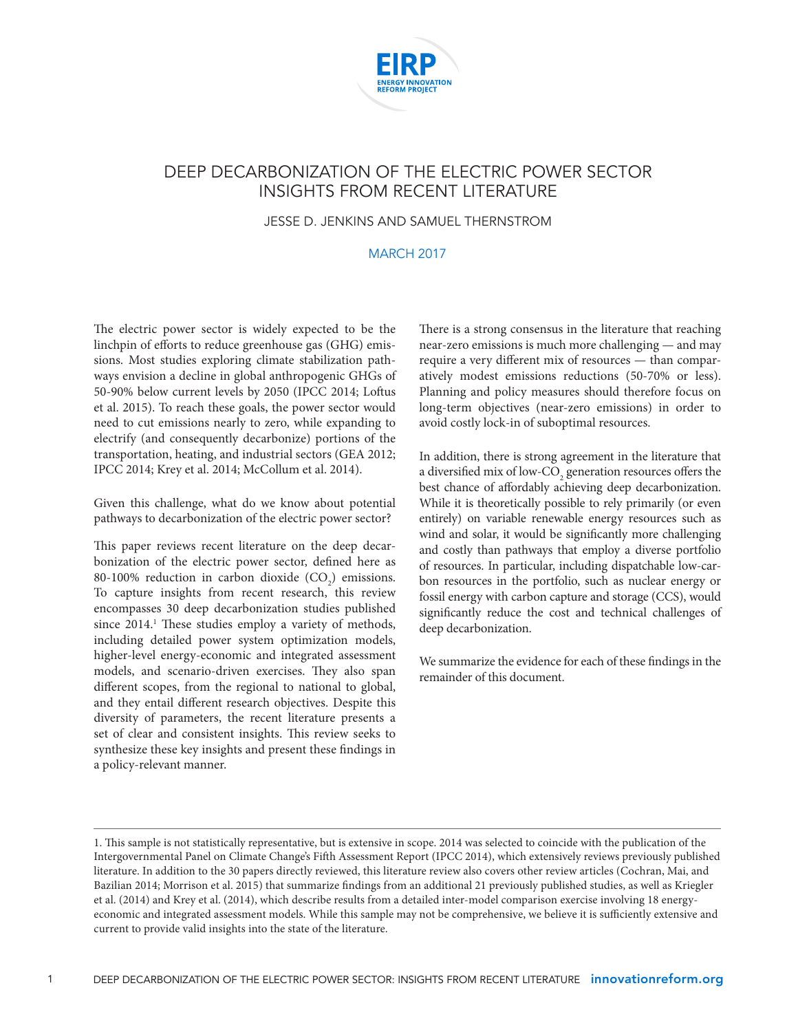

## DEEP DECARBONIZATION OF THE ELECTRIC POWER SECTOR INSIGHTS FROM RECENT LITERATURE

JESSE D. JENKINS AND SAMUEL THERNSTROM

#### MARCH 2017

The electric power sector is widely expected to be the linchpin of efforts to reduce greenhouse gas (GHG) emissions. Most studies exploring climate stabilization pathways envision a decline in global anthropogenic GHGs of 50-90% below current levels by 2050 (IPCC 2014; Loftus et al. 2015). To reach these goals, the power sector would need to cut emissions nearly to zero, while expanding to electrify (and consequently decarbonize) portions of the transportation, heating, and industrial sectors (GEA 2012; IPCC 2014; Krey et al. 2014; McCollum et al. 2014).

Given this challenge, what do we know about potential pathways to decarbonization of the electric power sector?

This paper reviews recent literature on the deep decarbonization of the electric power sector, defined here as 80-100% reduction in carbon dioxide  $(CO_2)$  emissions. To capture insights from recent research, this review encompasses 30 deep decarbonization studies published since 2014.<sup>1</sup> These studies employ a variety of methods, including detailed power system optimization models, higher-level energy-economic and integrated assessment models, and scenario-driven exercises. They also span different scopes, from the regional to national to global, and they entail different research objectives. Despite this diversity of parameters, the recent literature presents a set of clear and consistent insights. This review seeks to synthesize these key insights and present these findings in a policy-relevant manner.

There is a strong consensus in the literature that reaching near-zero emissions is much more challenging — and may require a very different mix of resources — than comparatively modest emissions reductions (50-70% or less). Planning and policy measures should therefore focus on long-term objectives (near-zero emissions) in order to avoid costly lock-in of suboptimal resources.

In addition, there is strong agreement in the literature that a diversified mix of low-CO<sub>2</sub> generation resources offers the best chance of affordably achieving deep decarbonization. While it is theoretically possible to rely primarily (or even entirely) on variable renewable energy resources such as wind and solar, it would be significantly more challenging and costly than pathways that employ a diverse portfolio of resources. In particular, including dispatchable low-carbon resources in the portfolio, such as nuclear energy or fossil energy with carbon capture and storage (CCS), would significantly reduce the cost and technical challenges of deep decarbonization.

We summarize the evidence for each of these findings in the remainder of this document.

<sup>1.</sup> This sample is not statistically representative, but is extensive in scope. 2014 was selected to coincide with the publication of the Intergovernmental Panel on Climate Change's Fifth Assessment Report (IPCC 2014), which extensively reviews previously published literature. In addition to the 30 papers directly reviewed, this literature review also covers other review articles (Cochran, Mai, and Bazilian 2014; Morrison et al. 2015) that summarize findings from an additional 21 previously published studies, as well as Kriegler et al. (2014) and Krey et al. (2014), which describe results from a detailed inter-model comparison exercise involving 18 energyeconomic and integrated assessment models. While this sample may not be comprehensive, we believe it is sufficiently extensive and current to provide valid insights into the state of the literature.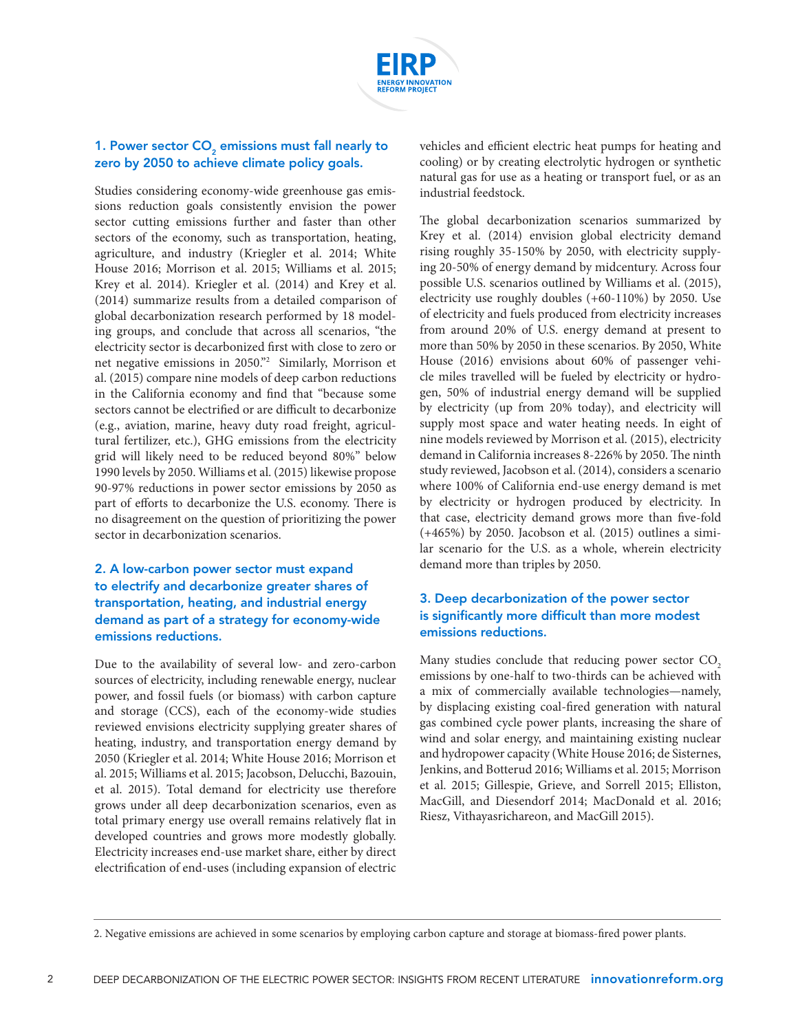

#### 1. Power sector  $CO<sub>2</sub>$  emissions must fall nearly to zero by 2050 to achieve climate policy goals.

Studies considering economy-wide greenhouse gas emissions reduction goals consistently envision the power sector cutting emissions further and faster than other sectors of the economy, such as transportation, heating, agriculture, and industry (Kriegler et al. 2014; White House 2016; Morrison et al. 2015; Williams et al. 2015; Krey et al. 2014). Kriegler et al. (2014) and Krey et al. (2014) summarize results from a detailed comparison of global decarbonization research performed by 18 modeling groups, and conclude that across all scenarios, "the electricity sector is decarbonized first with close to zero or net negative emissions in 2050."2 Similarly, Morrison et al. (2015) compare nine models of deep carbon reductions in the California economy and find that "because some sectors cannot be electrified or are difficult to decarbonize (e.g., aviation, marine, heavy duty road freight, agricultural fertilizer, etc.), GHG emissions from the electricity grid will likely need to be reduced beyond 80%" below 1990 levels by 2050. Williams et al. (2015) likewise propose 90-97% reductions in power sector emissions by 2050 as part of efforts to decarbonize the U.S. economy. There is no disagreement on the question of prioritizing the power sector in decarbonization scenarios.

## 2. A low-carbon power sector must expand to electrify and decarbonize greater shares of transportation, heating, and industrial energy demand as part of a strategy for economy-wide emissions reductions.

Due to the availability of several low- and zero-carbon sources of electricity, including renewable energy, nuclear power, and fossil fuels (or biomass) with carbon capture and storage (CCS), each of the economy-wide studies reviewed envisions electricity supplying greater shares of heating, industry, and transportation energy demand by 2050 (Kriegler et al. 2014; White House 2016; Morrison et al. 2015; Williams et al. 2015; Jacobson, Delucchi, Bazouin, et al. 2015). Total demand for electricity use therefore grows under all deep decarbonization scenarios, even as total primary energy use overall remains relatively flat in developed countries and grows more modestly globally. Electricity increases end-use market share, either by direct electrification of end-uses (including expansion of electric vehicles and efficient electric heat pumps for heating and cooling) or by creating electrolytic hydrogen or synthetic natural gas for use as a heating or transport fuel, or as an industrial feedstock.

The global decarbonization scenarios summarized by Krey et al. (2014) envision global electricity demand rising roughly 35-150% by 2050, with electricity supplying 20-50% of energy demand by midcentury. Across four possible U.S. scenarios outlined by Williams et al. (2015), electricity use roughly doubles (+60-110%) by 2050. Use of electricity and fuels produced from electricity increases from around 20% of U.S. energy demand at present to more than 50% by 2050 in these scenarios. By 2050, White House (2016) envisions about 60% of passenger vehicle miles travelled will be fueled by electricity or hydrogen, 50% of industrial energy demand will be supplied by electricity (up from 20% today), and electricity will supply most space and water heating needs. In eight of nine models reviewed by Morrison et al. (2015), electricity demand in California increases 8-226% by 2050. The ninth study reviewed, Jacobson et al. (2014), considers a scenario where 100% of California end-use energy demand is met by electricity or hydrogen produced by electricity. In that case, electricity demand grows more than five-fold (+465%) by 2050. Jacobson et al. (2015) outlines a similar scenario for the U.S. as a whole, wherein electricity demand more than triples by 2050.

## 3. Deep decarbonization of the power sector is significantly more difficult than more modest emissions reductions.

Many studies conclude that reducing power sector CO<sub>2</sub> emissions by one-half to two-thirds can be achieved with a mix of commercially available technologies—namely, by displacing existing coal-fired generation with natural gas combined cycle power plants, increasing the share of wind and solar energy, and maintaining existing nuclear and hydropower capacity (White House 2016; de Sisternes, Jenkins, and Botterud 2016; Williams et al. 2015; Morrison et al. 2015; Gillespie, Grieve, and Sorrell 2015; Elliston, MacGill, and Diesendorf 2014; MacDonald et al. 2016; Riesz, Vithayasrichareon, and MacGill 2015).

<sup>2.</sup> Negative emissions are achieved in some scenarios by employing carbon capture and storage at biomass-fired power plants.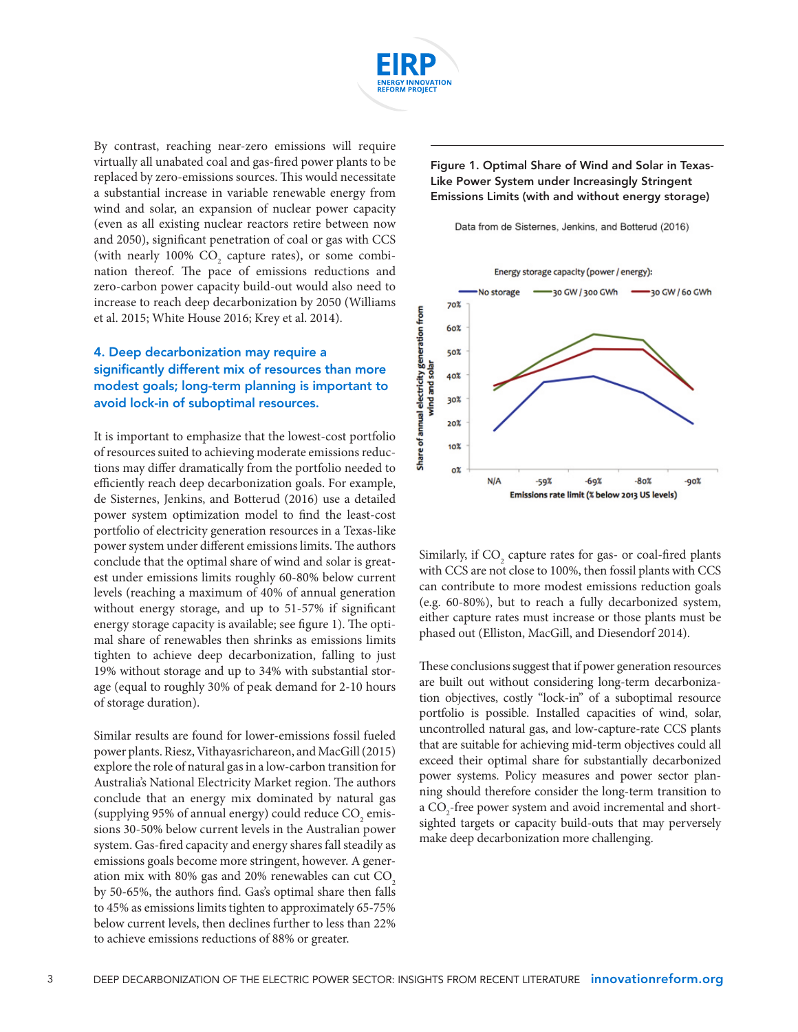

By contrast, reaching near-zero emissions will require virtually all unabated coal and gas-fired power plants to be replaced by zero-emissions sources. This would necessitate a substantial increase in variable renewable energy from wind and solar, an expansion of nuclear power capacity (even as all existing nuclear reactors retire between now and 2050), significant penetration of coal or gas with CCS (with nearly 100%  $CO_2$  capture rates), or some combination thereof. The pace of emissions reductions and zero-carbon power capacity build-out would also need to increase to reach deep decarbonization by 2050 (Williams et al. 2015; White House 2016; Krey et al. 2014).

## 4. Deep decarbonization may require a significantly different mix of resources than more modest goals; long-term planning is important to avoid lock-in of suboptimal resources.

It is important to emphasize that the lowest-cost portfolio of resources suited to achieving moderate emissions reductions may differ dramatically from the portfolio needed to efficiently reach deep decarbonization goals. For example, de Sisternes, Jenkins, and Botterud (2016) use a detailed power system optimization model to find the least-cost portfolio of electricity generation resources in a Texas-like power system under different emissions limits. The authors conclude that the optimal share of wind and solar is greatest under emissions limits roughly 60-80% below current levels (reaching a maximum of 40% of annual generation without energy storage, and up to 51-57% if significant energy storage capacity is available; see figure 1). The optimal share of renewables then shrinks as emissions limits tighten to achieve deep decarbonization, falling to just 19% without storage and up to 34% with substantial storage (equal to roughly 30% of peak demand for 2-10 hours of storage duration).

Similar results are found for lower-emissions fossil fueled power plants. Riesz, Vithayasrichareon, and MacGill (2015) explore the role of natural gas in a low-carbon transition for Australia's National Electricity Market region. The authors conclude that an energy mix dominated by natural gas (supplying 95% of annual energy) could reduce  $\mathrm{CO}_2$  emissions 30-50% below current levels in the Australian power system. Gas-fired capacity and energy shares fall steadily as emissions goals become more stringent, however. A generation mix with  $80\%$  gas and  $20\%$  renewables can cut  $CO<sub>2</sub>$ by 50-65%, the authors find. Gas's optimal share then falls to 45% as emissions limits tighten to approximately 65-75% below current levels, then declines further to less than 22% to achieve emissions reductions of 88% or greater.

Figure 1. Optimal Share of Wind and Solar in Texas-Like Power System under Increasingly Stringent Emissions Limits (with and without energy storage)





Similarly, if  $\mathrm{CO}_2$  capture rates for gas- or coal-fired plants with CCS are not close to 100%, then fossil plants with CCS can contribute to more modest emissions reduction goals (e.g. 60-80%), but to reach a fully decarbonized system, either capture rates must increase or those plants must be phased out (Elliston, MacGill, and Diesendorf 2014).

These conclusions suggest that if power generation resources are built out without considering long-term decarbonization objectives, costly "lock-in" of a suboptimal resource portfolio is possible. Installed capacities of wind, solar, uncontrolled natural gas, and low-capture-rate CCS plants that are suitable for achieving mid-term objectives could all exceed their optimal share for substantially decarbonized power systems. Policy measures and power sector planning should therefore consider the long-term transition to a CO<sub>2</sub>-free power system and avoid incremental and shortsighted targets or capacity build-outs that may perversely make deep decarbonization more challenging.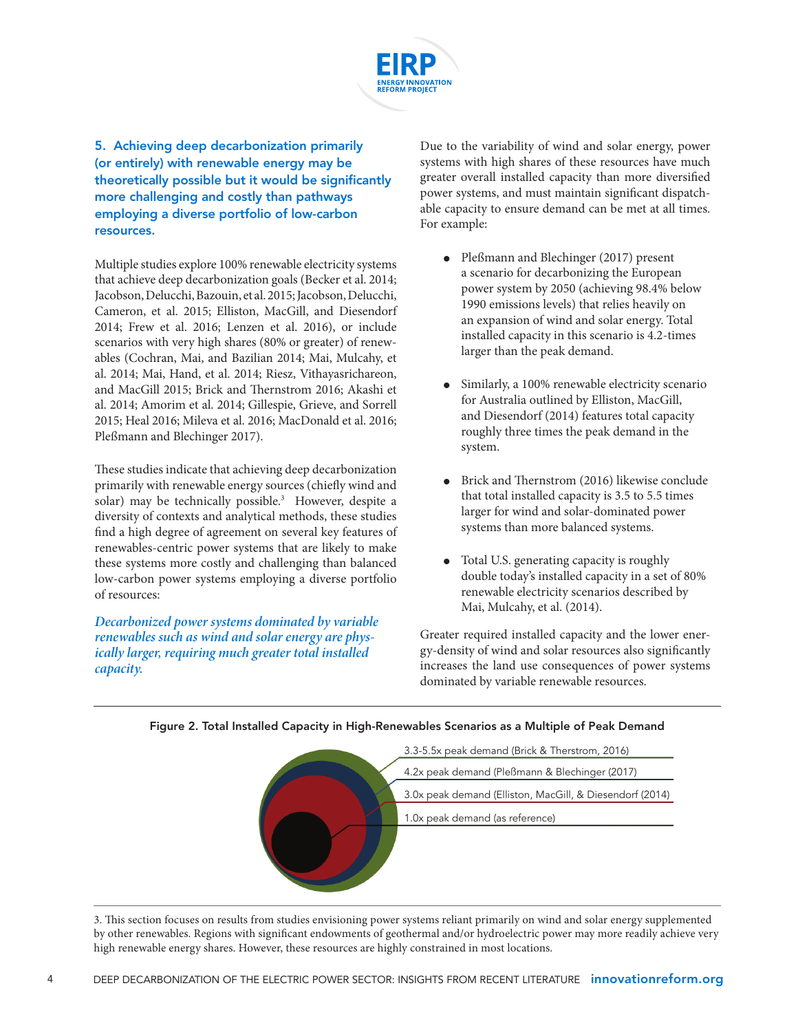

5. Achieving deep decarbonization primarily (or entirely) with renewable energy may be theoretically possible but it would be significantly more challenging and costly than pathways employing a diverse portfolio of low-carbon resources.

Multiple studies explore 100% renewable electricity systems that achieve deep decarbonization goals (Becker et al. 2014; Jacobson, Delucchi, Bazouin, et al. 2015; Jacobson, Delucchi, Cameron, et al. 2015; Elliston, MacGill, and Diesendorf 2014; Frew et al. 2016; Lenzen et al. 2016), or include scenarios with very high shares (80% or greater) of renewables (Cochran, Mai, and Bazilian 2014; Mai, Mulcahy, et al. 2014; Mai, Hand, et al. 2014; Riesz, Vithayasrichareon, and MacGill 2015; Brick and Thernstrom 2016; Akashi et al. 2014; Amorim et al. 2014; Gillespie, Grieve, and Sorrell 2015; Heal 2016; Mileva et al. 2016; MacDonald et al. 2016; Pleßmann and Blechinger 2017).

These studies indicate that achieving deep decarbonization primarily with renewable energy sources (chiefly wind and solar) may be technically possible.<sup>3</sup> However, despite a diversity of contexts and analytical methods, these studies find a high degree of agreement on several key features of renewables-centric power systems that are likely to make these systems more costly and challenging than balanced low-carbon power systems employing a diverse portfolio of resources:

*Decarbonized power systems dominated by variable renewables such as wind and solar energy are physically larger, requiring much greater total installed capacity.* 

Due to the variability of wind and solar energy, power systems with high shares of these resources have much greater overall installed capacity than more diversified power systems, and must maintain significant dispatchable capacity to ensure demand can be met at all times. For example:

- Pleßmann and Blechinger (2017) present a scenario for decarbonizing the European power system by 2050 (achieving 98.4% below 1990 emissions levels) that relies heavily on an expansion of wind and solar energy. Total installed capacity in this scenario is 4.2-times larger than the peak demand.
- Similarly, a 100% renewable electricity scenario for Australia outlined by Elliston, MacGill, and Diesendorf (2014) features total capacity roughly three times the peak demand in the system.
- Brick and Thernstrom (2016) likewise conclude that total installed capacity is 3.5 to 5.5 times larger for wind and solar-dominated power systems than more balanced systems.
- Total U.S. generating capacity is roughly double today's installed capacity in a set of 80% renewable electricity scenarios described by Mai, Mulcahy, et al. (2014).

Greater required installed capacity and the lower energy-density of wind and solar resources also significantly increases the land use consequences of power systems dominated by variable renewable resources.



### Figure 2. Total Installed Capacity in High-Renewables Scenarios as a Multiple of Peak Demand

3. This section focuses on results from studies envisioning power systems reliant primarily on wind and solar energy supplemented by other renewables. Regions with significant endowments of geothermal and/or hydroelectric power may more readily achieve very high renewable energy shares. However, these resources are highly constrained in most locations.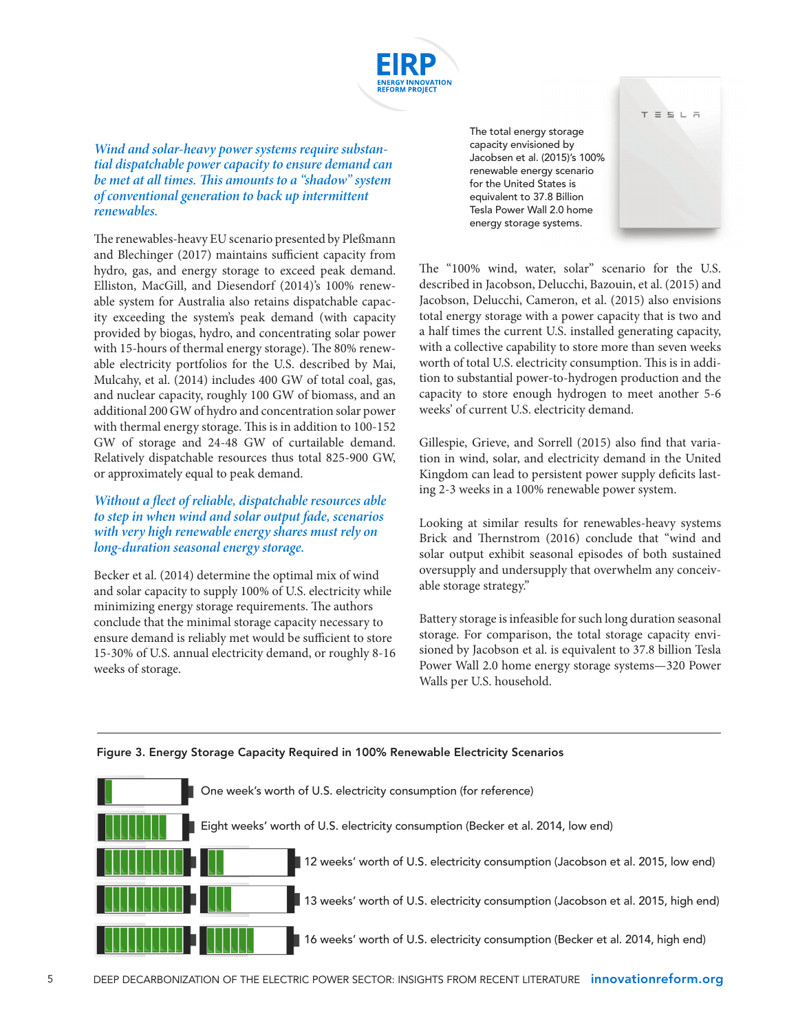

#### *Wind and solar-heavy power systems require substantial dispatchable power capacity to ensure demand can be met at all times. This amounts to a "shadow" system of conventional generation to back up intermittent renewables.*

The renewables-heavy EU scenario presented by Pleßmann and Blechinger (2017) maintains sufficient capacity from hydro, gas, and energy storage to exceed peak demand. Elliston, MacGill, and Diesendorf (2014)'s 100% renewable system for Australia also retains dispatchable capacity exceeding the system's peak demand (with capacity provided by biogas, hydro, and concentrating solar power with 15-hours of thermal energy storage). The 80% renewable electricity portfolios for the U.S. described by Mai, Mulcahy, et al. (2014) includes 400 GW of total coal, gas, and nuclear capacity, roughly 100 GW of biomass, and an additional 200 GW of hydro and concentration solar power with thermal energy storage. This is in addition to 100-152 GW of storage and 24-48 GW of curtailable demand. Relatively dispatchable resources thus total 825-900 GW, or approximately equal to peak demand.

#### *Without a fleet of reliable, dispatchable resources able to step in when wind and solar output fade, scenarios with very high renewable energy shares must rely on long-duration seasonal energy storage.*

Becker et al. (2014) determine the optimal mix of wind and solar capacity to supply 100% of U.S. electricity while minimizing energy storage requirements. The authors conclude that the minimal storage capacity necessary to ensure demand is reliably met would be sufficient to store 15-30% of U.S. annual electricity demand, or roughly 8-16 weeks of storage.

The total energy storage capacity envisioned by Jacobsen et al. (2015)'s 100% renewable energy scenario for the United States is equivalent to 37.8 Billion Tesla Power Wall 2.0 home energy storage systems.



The "100% wind, water, solar" scenario for the U.S. described in Jacobson, Delucchi, Bazouin, et al. (2015) and Jacobson, Delucchi, Cameron, et al. (2015) also envisions total energy storage with a power capacity that is two and a half times the current U.S. installed generating capacity, with a collective capability to store more than seven weeks worth of total U.S. electricity consumption. This is in addition to substantial power-to-hydrogen production and the capacity to store enough hydrogen to meet another 5-6 weeks' of current U.S. electricity demand.

Gillespie, Grieve, and Sorrell (2015) also find that variation in wind, solar, and electricity demand in the United Kingdom can lead to persistent power supply deficits lasting 2-3 weeks in a 100% renewable power system.

Looking at similar results for renewables-heavy systems Brick and Thernstrom (2016) conclude that "wind and solar output exhibit seasonal episodes of both sustained oversupply and undersupply that overwhelm any conceivable storage strategy."

Battery storage is infeasible for such long duration seasonal storage. For comparison, the total storage capacity envisioned by Jacobson et al. is equivalent to 37.8 billion Tesla Power Wall 2.0 home energy storage systems—320 Power Walls per U.S. household.



### Figure 3. Energy Storage Capacity Required in 100% Renewable Electricity Scenarios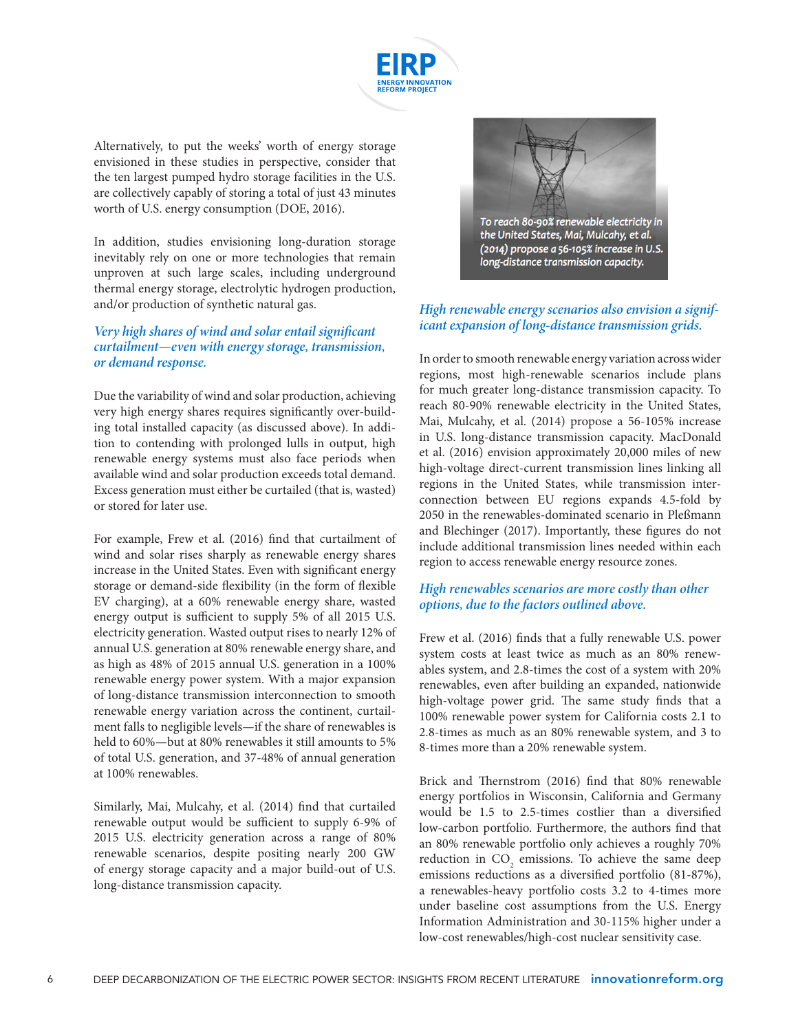

Alternatively, to put the weeks' worth of energy storage envisioned in these studies in perspective, consider that the ten largest pumped hydro storage facilities in the U.S. are collectively capably of storing a total of just 43 minutes worth of U.S. energy consumption (DOE, 2016).

In addition, studies envisioning long-duration storage inevitably rely on one or more technologies that remain unproven at such large scales, including underground thermal energy storage, electrolytic hydrogen production, and/or production of synthetic natural gas.

#### *Very high shares of wind and solar entail significant curtailment—even with energy storage, transmission, or demand response.*

Due the variability of wind and solar production, achieving very high energy shares requires significantly over-building total installed capacity (as discussed above). In addition to contending with prolonged lulls in output, high renewable energy systems must also face periods when available wind and solar production exceeds total demand. Excess generation must either be curtailed (that is, wasted) or stored for later use.

For example, Frew et al. (2016) find that curtailment of wind and solar rises sharply as renewable energy shares increase in the United States. Even with significant energy storage or demand-side flexibility (in the form of flexible EV charging), at a 60% renewable energy share, wasted energy output is sufficient to supply 5% of all 2015 U.S. electricity generation. Wasted output rises to nearly 12% of annual U.S. generation at 80% renewable energy share, and as high as 48% of 2015 annual U.S. generation in a 100% renewable energy power system. With a major expansion of long-distance transmission interconnection to smooth renewable energy variation across the continent, curtailment falls to negligible levels—if the share of renewables is held to 60%—but at 80% renewables it still amounts to 5% of total U.S. generation, and 37-48% of annual generation at 100% renewables.

Similarly, Mai, Mulcahy, et al. (2014) find that curtailed renewable output would be sufficient to supply 6-9% of 2015 U.S. electricity generation across a range of 80% renewable scenarios, despite positing nearly 200 GW of energy storage capacity and a major build-out of U.S. long-distance transmission capacity.



#### *High renewable energy scenarios also envision a significant expansion of long-distance transmission grids.*

In order to smooth renewable energy variation across wider regions, most high-renewable scenarios include plans for much greater long-distance transmission capacity. To reach 80-90% renewable electricity in the United States, Mai, Mulcahy, et al. (2014) propose a 56-105% increase in U.S. long-distance transmission capacity. MacDonald et al. (2016) envision approximately 20,000 miles of new high-voltage direct-current transmission lines linking all regions in the United States, while transmission interconnection between EU regions expands 4.5-fold by 2050 in the renewables-dominated scenario in Pleßmann and Blechinger (2017). Importantly, these figures do not include additional transmission lines needed within each region to access renewable energy resource zones.

#### *High renewables scenarios are more costly than other options, due to the factors outlined above.*

Frew et al. (2016) finds that a fully renewable U.S. power system costs at least twice as much as an 80% renewables system, and 2.8-times the cost of a system with 20% renewables, even after building an expanded, nationwide high-voltage power grid. The same study finds that a 100% renewable power system for California costs 2.1 to 2.8-times as much as an 80% renewable system, and 3 to 8-times more than a 20% renewable system.

Brick and Thernstrom (2016) find that 80% renewable energy portfolios in Wisconsin, California and Germany would be 1.5 to 2.5-times costlier than a diversified low-carbon portfolio. Furthermore, the authors find that an 80% renewable portfolio only achieves a roughly 70% reduction in  $CO_2$  emissions. To achieve the same deep emissions reductions as a diversified portfolio (81-87%), a renewables-heavy portfolio costs 3.2 to 4-times more under baseline cost assumptions from the U.S. Energy Information Administration and 30-115% higher under a low-cost renewables/high-cost nuclear sensitivity case.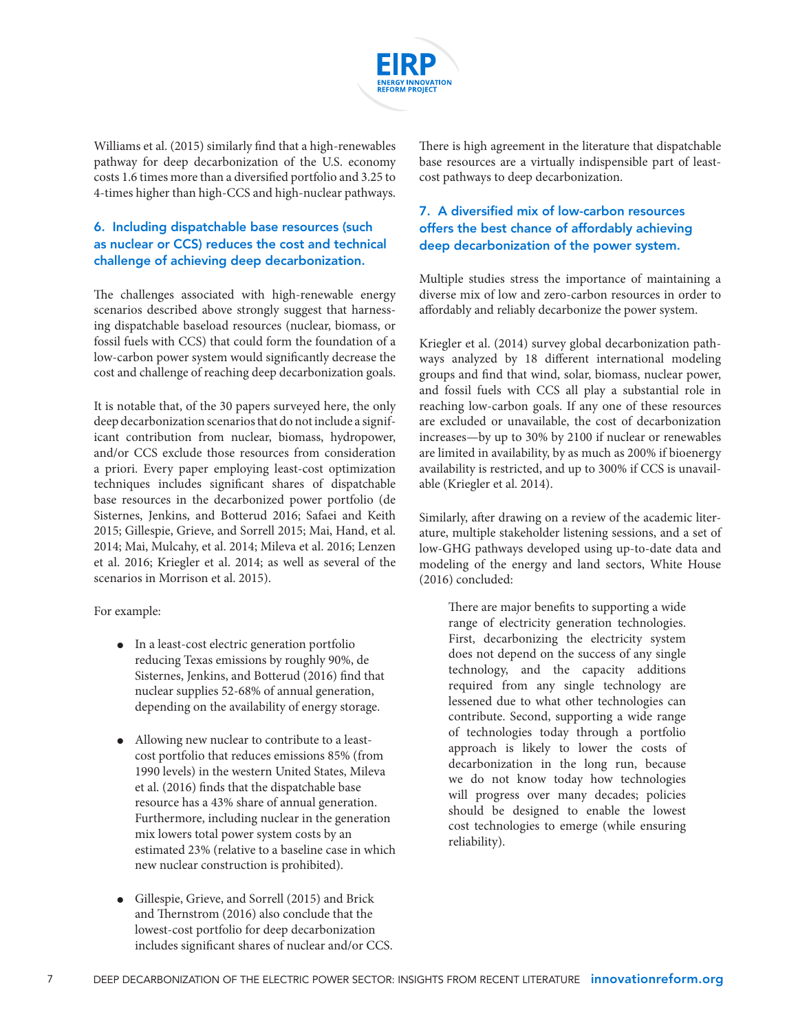

Williams et al. (2015) similarly find that a high-renewables pathway for deep decarbonization of the U.S. economy costs 1.6 times more than a diversified portfolio and 3.25 to 4-times higher than high-CCS and high-nuclear pathways.

## 6. Including dispatchable base resources (such as nuclear or CCS) reduces the cost and technical challenge of achieving deep decarbonization.

The challenges associated with high-renewable energy scenarios described above strongly suggest that harnessing dispatchable baseload resources (nuclear, biomass, or fossil fuels with CCS) that could form the foundation of a low-carbon power system would significantly decrease the cost and challenge of reaching deep decarbonization goals.

It is notable that, of the 30 papers surveyed here, the only deep decarbonization scenarios that do not include a significant contribution from nuclear, biomass, hydropower, and/or CCS exclude those resources from consideration a priori. Every paper employing least-cost optimization techniques includes significant shares of dispatchable base resources in the decarbonized power portfolio (de Sisternes, Jenkins, and Botterud 2016; Safaei and Keith 2015; Gillespie, Grieve, and Sorrell 2015; Mai, Hand, et al. 2014; Mai, Mulcahy, et al. 2014; Mileva et al. 2016; Lenzen et al. 2016; Kriegler et al. 2014; as well as several of the scenarios in Morrison et al. 2015).

For example:

- In a least-cost electric generation portfolio reducing Texas emissions by roughly 90%, de Sisternes, Jenkins, and Botterud (2016) find that nuclear supplies 52-68% of annual generation, depending on the availability of energy storage.
- Allowing new nuclear to contribute to a leastcost portfolio that reduces emissions 85% (from 1990 levels) in the western United States, Mileva et al. (2016) finds that the dispatchable base resource has a 43% share of annual generation. Furthermore, including nuclear in the generation mix lowers total power system costs by an estimated 23% (relative to a baseline case in which new nuclear construction is prohibited).
- Gillespie, Grieve, and Sorrell (2015) and Brick and Thernstrom (2016) also conclude that the lowest-cost portfolio for deep decarbonization includes significant shares of nuclear and/or CCS.

There is high agreement in the literature that dispatchable base resources are a virtually indispensible part of leastcost pathways to deep decarbonization.

## 7. A diversified mix of low-carbon resources offers the best chance of affordably achieving deep decarbonization of the power system.

Multiple studies stress the importance of maintaining a diverse mix of low and zero-carbon resources in order to affordably and reliably decarbonize the power system.

Kriegler et al. (2014) survey global decarbonization pathways analyzed by 18 different international modeling groups and find that wind, solar, biomass, nuclear power, and fossil fuels with CCS all play a substantial role in reaching low-carbon goals. If any one of these resources are excluded or unavailable, the cost of decarbonization increases—by up to 30% by 2100 if nuclear or renewables are limited in availability, by as much as 200% if bioenergy availability is restricted, and up to 300% if CCS is unavailable (Kriegler et al. 2014).

Similarly, after drawing on a review of the academic literature, multiple stakeholder listening sessions, and a set of low-GHG pathways developed using up-to-date data and modeling of the energy and land sectors, White House (2016) concluded:

There are major benefits to supporting a wide range of electricity generation technologies. First, decarbonizing the electricity system does not depend on the success of any single technology, and the capacity additions required from any single technology are lessened due to what other technologies can contribute. Second, supporting a wide range of technologies today through a portfolio approach is likely to lower the costs of decarbonization in the long run, because we do not know today how technologies will progress over many decades; policies should be designed to enable the lowest cost technologies to emerge (while ensuring reliability).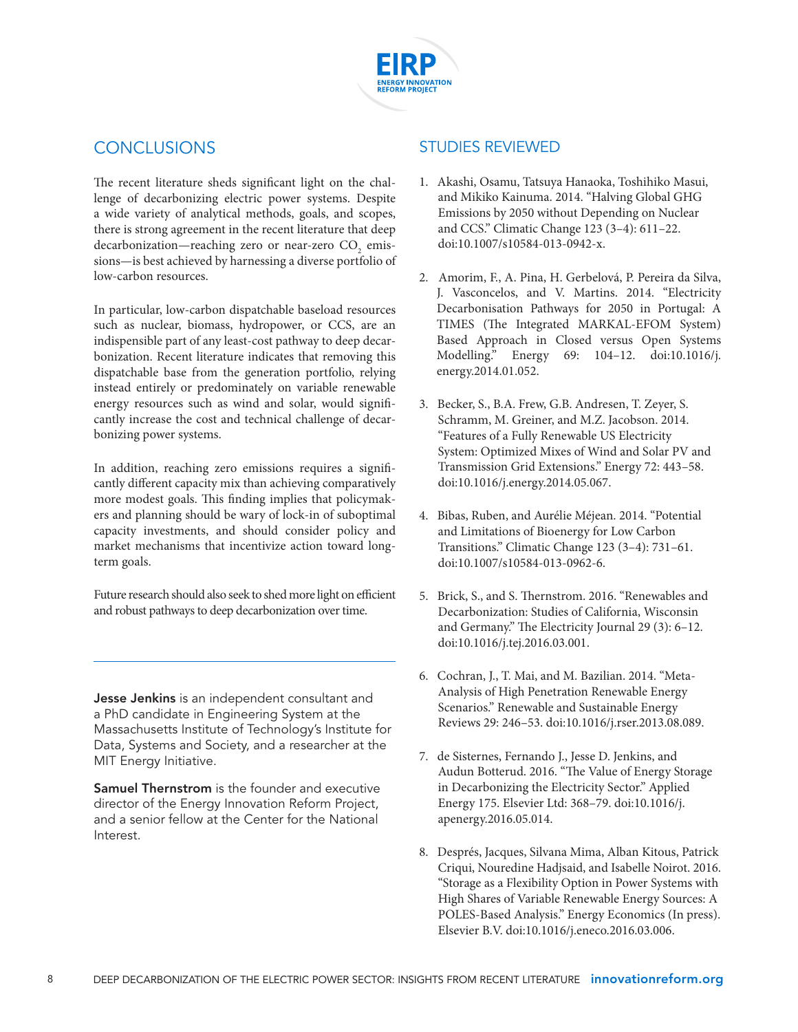

# **CONCLUSIONS**

The recent literature sheds significant light on the challenge of decarbonizing electric power systems. Despite a wide variety of analytical methods, goals, and scopes, there is strong agreement in the recent literature that deep decarbonization—reaching zero or near-zero  $\mathrm{CO}_2^{\phantom{\dag}}$  emissions—is best achieved by harnessing a diverse portfolio of low-carbon resources.

In particular, low-carbon dispatchable baseload resources such as nuclear, biomass, hydropower, or CCS, are an indispensible part of any least-cost pathway to deep decarbonization. Recent literature indicates that removing this dispatchable base from the generation portfolio, relying instead entirely or predominately on variable renewable energy resources such as wind and solar, would significantly increase the cost and technical challenge of decarbonizing power systems.

In addition, reaching zero emissions requires a significantly different capacity mix than achieving comparatively more modest goals. This finding implies that policymakers and planning should be wary of lock-in of suboptimal capacity investments, and should consider policy and market mechanisms that incentivize action toward longterm goals.

Future research should also seek to shed more light on efficient and robust pathways to deep decarbonization over time.

**Jesse Jenkins** is an independent consultant and a PhD candidate in Engineering System at the Massachusetts Institute of Technology's Institute for Data, Systems and Society, and a researcher at the MIT Energy Initiative.

Samuel Thernstrom is the founder and executive director of the Energy Innovation Reform Project, and a senior fellow at the Center for the National Interest.

## STUDIES REVIEWED

- 1. Akashi, Osamu, Tatsuya Hanaoka, Toshihiko Masui, and Mikiko Kainuma. 2014. "Halving Global GHG Emissions by 2050 without Depending on Nuclear and CCS." Climatic Change 123 (3–4): 611–22. doi:10.1007/s10584-013-0942-x.
- 2. Amorim, F., A. Pina, H. Gerbelová, P. Pereira da Silva, J. Vasconcelos, and V. Martins. 2014. "Electricity Decarbonisation Pathways for 2050 in Portugal: A TIMES (The Integrated MARKAL-EFOM System) Based Approach in Closed versus Open Systems Modelling." Energy 69: 104–12. doi:10.1016/j. energy.2014.01.052.
- 3. Becker, S., B.A. Frew, G.B. Andresen, T. Zeyer, S. Schramm, M. Greiner, and M.Z. Jacobson. 2014. "Features of a Fully Renewable US Electricity System: Optimized Mixes of Wind and Solar PV and Transmission Grid Extensions." Energy 72: 443–58. doi:10.1016/j.energy.2014.05.067.
- 4. Bibas, Ruben, and Aurélie Méjean. 2014. "Potential and Limitations of Bioenergy for Low Carbon Transitions." Climatic Change 123 (3–4): 731–61. doi:10.1007/s10584-013-0962-6.
- 5. Brick, S., and S. Thernstrom. 2016. "Renewables and Decarbonization: Studies of California, Wisconsin and Germany." The Electricity Journal 29 (3): 6–12. doi:10.1016/j.tej.2016.03.001.
- 6. Cochran, J., T. Mai, and M. Bazilian. 2014. "Meta-Analysis of High Penetration Renewable Energy Scenarios." Renewable and Sustainable Energy Reviews 29: 246–53. doi:10.1016/j.rser.2013.08.089.
- 7. de Sisternes, Fernando J., Jesse D. Jenkins, and Audun Botterud. 2016. "The Value of Energy Storage in Decarbonizing the Electricity Sector." Applied Energy 175. Elsevier Ltd: 368–79. doi:10.1016/j. apenergy.2016.05.014.
- 8. Després, Jacques, Silvana Mima, Alban Kitous, Patrick Criqui, Nouredine Hadjsaid, and Isabelle Noirot. 2016. "Storage as a Flexibility Option in Power Systems with High Shares of Variable Renewable Energy Sources: A POLES-Based Analysis." Energy Economics (In press). Elsevier B.V. doi:10.1016/j.eneco.2016.03.006.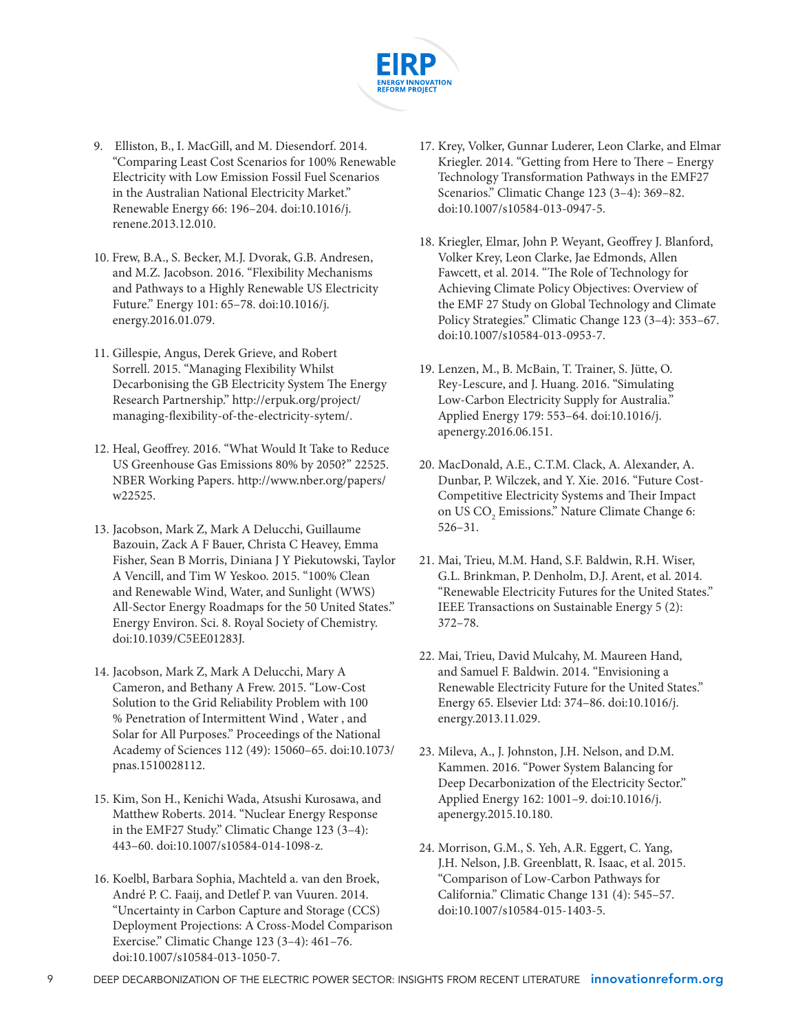

- 9. Elliston, B., I. MacGill, and M. Diesendorf. 2014. "Comparing Least Cost Scenarios for 100% Renewable Electricity with Low Emission Fossil Fuel Scenarios in the Australian National Electricity Market." Renewable Energy 66: 196–204. doi:10.1016/j. renene.2013.12.010.
- 10. Frew, B.A., S. Becker, M.J. Dvorak, G.B. Andresen, and M.Z. Jacobson. 2016. "Flexibility Mechanisms and Pathways to a Highly Renewable US Electricity Future." Energy 101: 65–78. doi:10.1016/j. energy.2016.01.079.
- 11. Gillespie, Angus, Derek Grieve, and Robert Sorrell. 2015. "Managing Flexibility Whilst Decarbonising the GB Electricity System The Energy Research Partnership." http://erpuk.org/project/ managing-flexibility-of-the-electricity-sytem/.
- 12. Heal, Geoffrey. 2016. "What Would It Take to Reduce US Greenhouse Gas Emissions 80% by 2050?" 22525. NBER Working Papers. http://www.nber.org/papers/ w22525.
- 13. Jacobson, Mark Z, Mark A Delucchi, Guillaume Bazouin, Zack A F Bauer, Christa C Heavey, Emma Fisher, Sean B Morris, Diniana J Y Piekutowski, Taylor A Vencill, and Tim W Yeskoo. 2015. "100% Clean and Renewable Wind, Water, and Sunlight (WWS) All-Sector Energy Roadmaps for the 50 United States." Energy Environ. Sci. 8. Royal Society of Chemistry. doi:10.1039/C5EE01283J.
- 14. Jacobson, Mark Z, Mark A Delucchi, Mary A Cameron, and Bethany A Frew. 2015. "Low-Cost Solution to the Grid Reliability Problem with 100 % Penetration of Intermittent Wind , Water , and Solar for All Purposes." Proceedings of the National Academy of Sciences 112 (49): 15060–65. doi:10.1073/ pnas.1510028112.
- 15. Kim, Son H., Kenichi Wada, Atsushi Kurosawa, and Matthew Roberts. 2014. "Nuclear Energy Response in the EMF27 Study." Climatic Change 123 (3–4): 443–60. doi:10.1007/s10584-014-1098-z.
- 16. Koelbl, Barbara Sophia, Machteld a. van den Broek, André P. C. Faaij, and Detlef P. van Vuuren. 2014. "Uncertainty in Carbon Capture and Storage (CCS) Deployment Projections: A Cross-Model Comparison Exercise." Climatic Change 123 (3–4): 461–76. doi:10.1007/s10584-013-1050-7.
- 17. Krey, Volker, Gunnar Luderer, Leon Clarke, and Elmar Kriegler. 2014. "Getting from Here to There – Energy Technology Transformation Pathways in the EMF27 Scenarios." Climatic Change 123 (3–4): 369–82. doi:10.1007/s10584-013-0947-5.
- 18. Kriegler, Elmar, John P. Weyant, Geoffrey J. Blanford, Volker Krey, Leon Clarke, Jae Edmonds, Allen Fawcett, et al. 2014. "The Role of Technology for Achieving Climate Policy Objectives: Overview of the EMF 27 Study on Global Technology and Climate Policy Strategies." Climatic Change 123 (3–4): 353–67. doi:10.1007/s10584-013-0953-7.
- 19. Lenzen, M., B. McBain, T. Trainer, S. Jütte, O. Rey-Lescure, and J. Huang. 2016. "Simulating Low-Carbon Electricity Supply for Australia." Applied Energy 179: 553–64. doi:10.1016/j. apenergy.2016.06.151.
- 20. MacDonald, A.E., C.T.M. Clack, A. Alexander, A. Dunbar, P. Wilczek, and Y. Xie. 2016. "Future Cost-Competitive Electricity Systems and Their Impact on US $\mathrm{CO}_2$ Emissions." Nature Climate Change 6: 526–31.
- 21. Mai, Trieu, M.M. Hand, S.F. Baldwin, R.H. Wiser, G.L. Brinkman, P. Denholm, D.J. Arent, et al. 2014. "Renewable Electricity Futures for the United States." IEEE Transactions on Sustainable Energy 5 (2): 372–78.
- 22. Mai, Trieu, David Mulcahy, M. Maureen Hand, and Samuel F. Baldwin. 2014. "Envisioning a Renewable Electricity Future for the United States." Energy 65. Elsevier Ltd: 374–86. doi:10.1016/j. energy.2013.11.029.
- 23. Mileva, A., J. Johnston, J.H. Nelson, and D.M. Kammen. 2016. "Power System Balancing for Deep Decarbonization of the Electricity Sector." Applied Energy 162: 1001–9. doi:10.1016/j. apenergy.2015.10.180.
- 24. Morrison, G.M., S. Yeh, A.R. Eggert, C. Yang, J.H. Nelson, J.B. Greenblatt, R. Isaac, et al. 2015. "Comparison of Low-Carbon Pathways for California." Climatic Change 131 (4): 545–57. doi:10.1007/s10584-015-1403-5.
- 9 DEEP DECARBONIZATION OF THE ELECTRIC POWER SECTOR: INSIGHTS FROM RECENT LITERATURE innovationreform.org